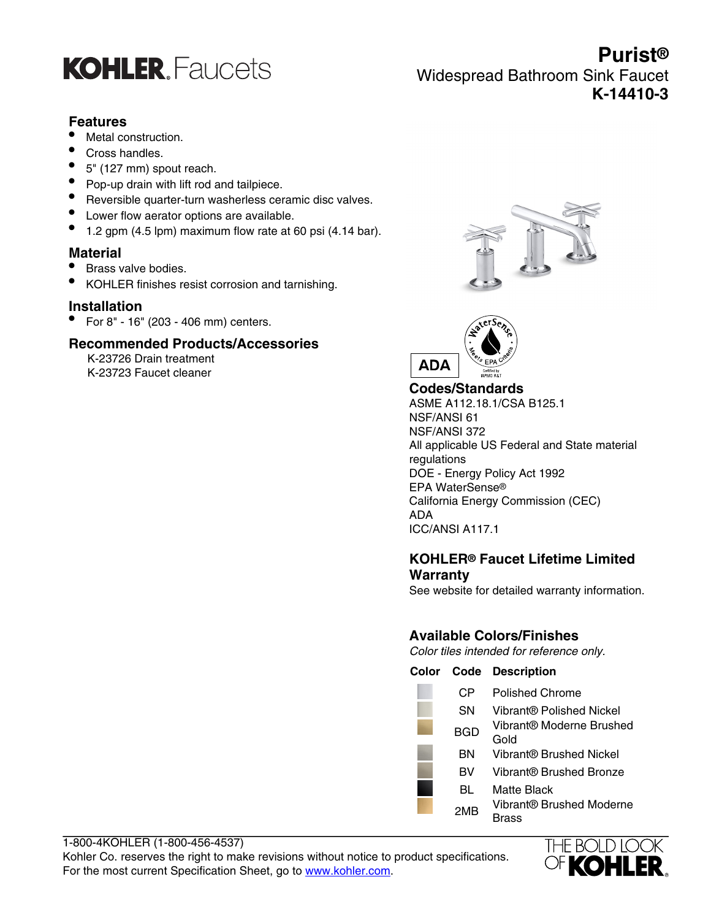

# **Features**

- Metal construction.
- Cross handles.
- 5" (127 mm) spout reach.
- Pop-up drain with lift rod and tailpiece.
- Reversible quarter-turn washerless ceramic disc valves.
- Lower flow aerator options are available.
- 1.2 gpm (4.5 lpm) maximum flow rate at 60 psi (4.14 bar).

### **Material**

- Brass valve bodies.
- KOHLER finishes resist corrosion and tarnishing.

### **Installation**

• For 8" - 16" (203 - 406 mm) centers.

### **Recommended Products/Accessories**

K-23726 Drain treatment K-23723 Faucet cleaner



Widespread Bathroom Sink Faucet

**Purist®**

**K-14410-3**



**Codes/Standards** ASME A112.18.1/CSA B125.1 NSF/ANSI 61 NSF/ANSI 372 All applicable US Federal and State material regulations DOE - Energy Policy Act 1992 EPA WaterSense® California Energy Commission (CEC) ADA ICC/ANSI A117.1

# **KOHLER® Faucet Lifetime Limited Warranty**

See website for detailed warranty information.

# **Available Colors/Finishes**

Color tiles intended for reference only.